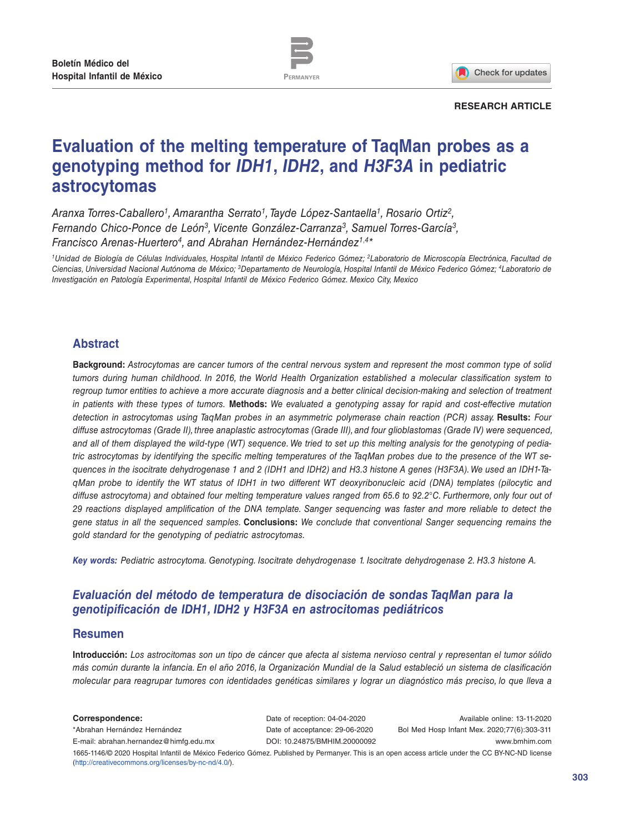

Check for updates

#### **RESEARCH ARTICLE**

# **Evaluation of the melting temperature of TaqMan probes as a genotyping method for** *IDH1***,** *IDH2***, and** *H3F3A* **in pediatric astrocytomas**

*Aranxa Torres-Caballero1, Amarantha Serrato1, Tayde López-Santaella1, Rosario Ortiz2, Fernando Chico-Ponce de León3, Vicente González-Carranza3, Samuel Torres-García3, Francisco Arenas-Huertero4, and Abrahan Hernández-Hernández1*,*4\**

*1Unidad de Biología de Células Individuales, Hospital Infantil de México Federico Gómez; 2Laboratorio de Microscopía Electrónica, Facultad de Ciencias, Universidad Nacional Autónoma de México; 3Departamento de Neurología, Hospital Infantil de México Federico Gómez; 4Laboratorio de Investigación en Patología Experimental, Hospital Infantil de México Federico Gómez. Mexico City, Mexico*

## **Abstract**

**Background:** *Astrocytomas are cancer tumors of the central nervous system and represent the most common type of solid tumors during human childhood. In 2016, the World Health Organization established a molecular classification system to regroup tumor entities to achieve a more accurate diagnosis and a better clinical decision-making and selection of treatment in patients with these types of tumors.* **Methods:** *We evaluated a genotyping assay for rapid and cost-effective mutation detection in astrocytomas using TaqMan probes in an asymmetric polymerase chain reaction (PCR) assay.* **Results:** *Four diffuse astrocytomas (Grade II), three anaplastic astrocytomas (Grade III), and four glioblastomas (Grade IV) were sequenced, and all of them displayed the wild-type (WT) sequence. We tried to set up this melting analysis for the genotyping of pediatric astrocytomas by identifying the specific melting temperatures of the TaqMan probes due to the presence of the WT sequences in the isocitrate dehydrogenase 1 and 2 (IDH1 and IDH2) and H3.3 histone A genes (H3F3A). We used an IDH1-TaqMan probe to identify the WT status of IDH1 in two different WT deoxyribonucleic acid (DNA) templates (pilocytic and diffuse astrocytoma) and obtained four melting temperature values ranged from 65.6 to 92.2°C. Furthermore, only four out of 29 reactions displayed amplification of the DNA template. Sanger sequencing was faster and more reliable to detect the gene status in all the sequenced samples.* **Conclusions:** *We conclude that conventional Sanger sequencing remains the gold standard for the genotyping of pediatric astrocytomas.* 

*Key words: Pediatric astrocytoma. Genotyping. Isocitrate dehydrogenase 1. Isocitrate dehydrogenase 2. H3.3 histone A.*

# *Evaluación del método de temperatura de disociación de sondas TaqMan para la genotipificación de IDH1, IDH2 y H3F3A en astrocitomas pediátricos*

## **Resumen**

**Introducción:** *Los astrocitomas son un tipo de cáncer que afecta al sistema nervioso central y representan el tumor sólido más común durante la infancia. En el año 2016, la Organización Mundial de la Salud estableció un sistema de clasificación molecular para reagrupar tumores con identidades genéticas similares y lograr un diagnóstico más preciso, lo que lleva a* 

**Correspondence:** \*Abrahan Hernández Hernández E-mail: abrahan.hernandez@himfg.edu.mx Date of reception: 04-04-2020 Date of acceptance: 29-06-2020 DOI: 10.24875/BMHIM.20000092

Available online: 13-11-2020 Bol Med Hosp Infant Mex. 2020;77(6):303-311 www.bmhim.com

1665-1146/© 2020 Hospital Infantil de México Federico Gómez. Published by Permanyer. This is an open access article under the CC BY-NC-ND license (http://creativecommons.org/licenses/by-nc-nd/4.0/).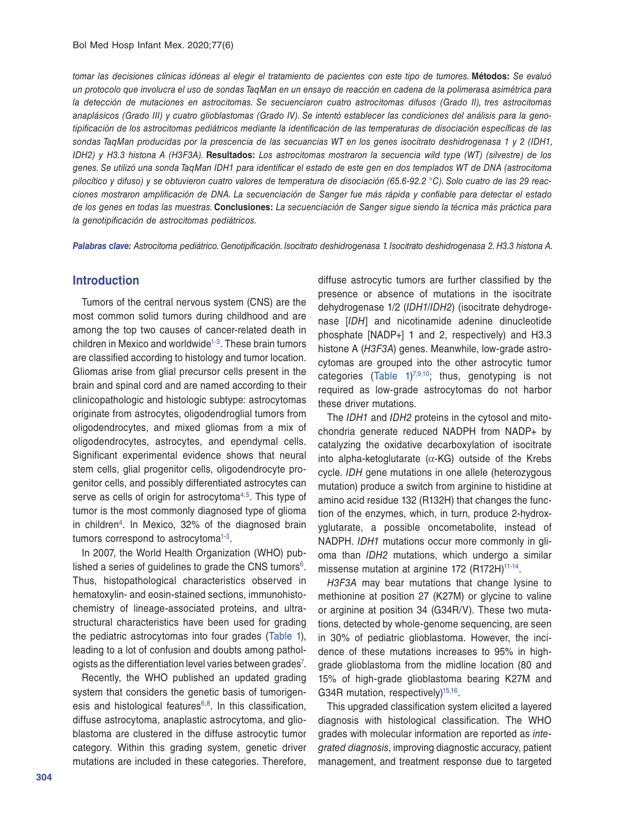*tomar las decisiones clínicas idóneas al elegir el tratamiento de pacientes con este tipo de tumores.* **Métodos:** *Se evaluó un protocolo que involucra el uso de sondas TaqMan en un ensayo de reacción en cadena de la polimerasa asimétrica para la detección de mutaciones en astrocitomas. Se secuenciaron cuatro astrocitomas difusos (Grado II), tres astrocitomas anaplásicos (Grado III) y cuatro glioblastomas (Grado IV). Se intentó establecer las condiciones del análisis para la genotipificación de los astrocitomas pediátricos mediante la identificación de las temperaturas de disociación específicas de las sondas TaqMan producidas por la prescencia de las secuancias WT en los genes isocitrato deshidrogenasa 1 y 2 (IDH1, IDH2) y H3.3 histona A (H3F3A).* **Resultados:** *Los astrocitomas mostraron la secuencia wild type (WT) (silvestre) de los genes. Se utilizó una sonda TaqMan IDH1 para identificar el estado de este gen en dos templados WT de DNA (astrocitoma pilocítico y difuso) y se obtuvieron cuatro valores de temperatura de disociación (65.6-92.2 °C). Solo cuatro de las 29 reacciones mostraron amplificación de DNA. La secuenciación de Sanger fue más rápida y confiable para detectar el estado de los genes en todas las muestras.* **Conclusiones:** *La secuenciación de Sanger sigue siendo la técnica más práctica para la genotipificación de astrocitomas pediátricos.*

*Palabras clave: Astrocitoma pediátrico. Genotipificación. Isocitrato deshidrogenasa 1. Isocitrato deshidrogenasa 2. H3.3 histona A.*

#### **Introduction**

Tumors of the central nervous system (CNS) are the most common solid tumors during childhood and are among the top two causes of cancer-related death in children in Mexico and worldwide<sup>1-3</sup>. These brain tumors are classified according to histology and tumor location. Gliomas arise from glial precursor cells present in the brain and spinal cord and are named according to their clinicopathologic and histologic subtype: astrocytomas originate from astrocytes, oligodendroglial tumors from oligodendrocytes, and mixed gliomas from a mix of oligodendrocytes, astrocytes, and ependymal cells. Significant experimental evidence shows that neural stem cells, glial progenitor cells, oligodendrocyte progenitor cells, and possibly differentiated astrocytes can serve as cells of origin for astrocytoma<sup>4,5</sup>. This type of tumor is the most commonly diagnosed type of glioma in children<sup>4</sup>. In Mexico, 32% of the diagnosed brain tumors correspond to astrocytoma<sup>1-3</sup>.

In 2007, the World Health Organization (WHO) published a series of guidelines to grade the CNS tumors $6$ . Thus, histopathological characteristics observed in hematoxylin- and eosin-stained sections, immunohistochemistry of lineage-associated proteins, and ultrastructural characteristics have been used for grading the pediatric astrocytomas into four grades (Table 1), leading to a lot of confusion and doubts among pathologists as the differentiation level varies between grades<sup>7</sup>.

Recently, the WHO published an updated grading system that considers the genetic basis of tumorigenesis and histological features $6,8$ . In this classification, diffuse astrocytoma, anaplastic astrocytoma, and glioblastoma are clustered in the diffuse astrocytic tumor category. Within this grading system, genetic driver mutations are included in these categories. Therefore,

diffuse astrocytic tumors are further classified by the presence or absence of mutations in the isocitrate dehydrogenase 1/2 (*IDH1/IDH2*) (isocitrate dehydrogenase [*IDH*] and nicotinamide adenine dinucleotide phosphate [NADP+] 1 and 2, respectively) and H3.3 histone A (*H3F3A*) genes. Meanwhile, low-grade astrocytomas are grouped into the other astrocytic tumor categories (Table  $1$ )<sup>7,9,10</sup>; thus, genotyping is not required as low-grade astrocytomas do not harbor these driver mutations.

The *IDH1* and *IDH2* proteins in the cytosol and mitochondria generate reduced NADPH from NADP+ by catalyzing the oxidative decarboxylation of isocitrate into alpha-ketoglutarate (α-KG) outside of the Krebs cycle. *IDH* gene mutations in one allele (heterozygous mutation) produce a switch from arginine to histidine at amino acid residue 132 (R132H) that changes the function of the enzymes, which, in turn, produce 2-hydroxyglutarate, a possible oncometabolite, instead of NADPH. *IDH1* mutations occur more commonly in glioma than *IDH2* mutations, which undergo a similar missense mutation at arginine 172 (R172H)<sup>11-14</sup>.

*H3F3A* may bear mutations that change lysine to methionine at position 27 (K27M) or glycine to valine or arginine at position 34 (G34R/V). These two mutations, detected by whole-genome sequencing, are seen in 30% of pediatric glioblastoma. However, the incidence of these mutations increases to 95% in highgrade glioblastoma from the midline location (80 and 15% of high-grade glioblastoma bearing K27M and G34R mutation, respectively)<sup>15,16</sup>.

This upgraded classification system elicited a layered diagnosis with histological classification. The WHO grades with molecular information are reported as *integrated diagnosis*, improving diagnostic accuracy, patient management, and treatment response due to targeted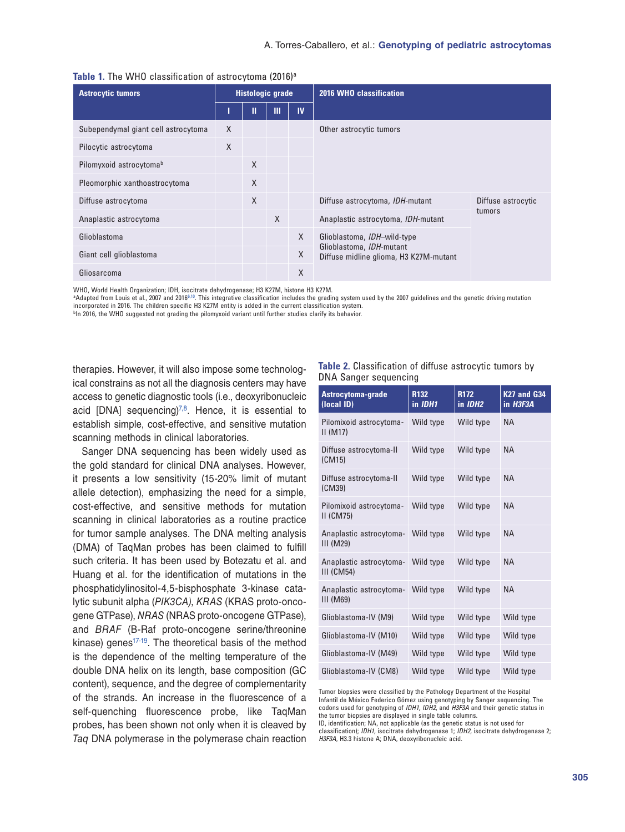| <b>Astrocytic tumors</b>            | <b>Histologic grade</b> |              |        | 2016 WHO classification |                                                                                                   |                    |
|-------------------------------------|-------------------------|--------------|--------|-------------------------|---------------------------------------------------------------------------------------------------|--------------------|
|                                     |                         | П            | Ш      | <b>IV</b>               |                                                                                                   |                    |
| Subependymal giant cell astrocytoma | $\mathsf{X}$            |              |        |                         | Other astrocytic tumors                                                                           |                    |
| Pilocytic astrocytoma               | X                       |              |        |                         |                                                                                                   |                    |
| Pilomyxoid astrocytoma <sup>b</sup> |                         | $\mathsf{X}$ |        |                         |                                                                                                   |                    |
| Pleomorphic xanthoastrocytoma       |                         | $\mathsf{X}$ |        |                         |                                                                                                   |                    |
| Diffuse astrocytoma                 |                         | $\times$     |        |                         | Diffuse astrocytoma, IDH-mutant                                                                   | Diffuse astrocytic |
| Anaplastic astrocytoma              |                         |              | $\chi$ |                         | Anaplastic astrocytoma, IDH-mutant                                                                | tumors             |
| Glioblastoma                        |                         |              |        | $\chi$                  | Glioblastoma, IDH-wild-type<br>Glioblastoma, IDH-mutant<br>Diffuse midline glioma, H3 K27M-mutant |                    |
| Giant cell glioblastoma             |                         |              |        | $\chi$                  |                                                                                                   |                    |
| Gliosarcoma                         |                         |              |        | X                       |                                                                                                   |                    |

|  |  |  | Table 1. The WHO classification of astrocytoma (2016) <sup>a</sup> |  |  |  |
|--|--|--|--------------------------------------------------------------------|--|--|--|
|--|--|--|--------------------------------------------------------------------|--|--|--|

WHO, World Health Organization; IDH, isocitrate dehydrogenase; H3 K27M, histone H3 K27M.

aAdapted from Louis et al., 2007 and 20166,10. This integrative classification includes the grading system used by the 2007 guidelines and the genetic driving mutation incorporated in 2016. The children specific H3 K27M entity is added in the current classification system.

bIn 2016, the WHO suggested not grading the pilomyxoid variant until further studies clarify its behavior.

therapies. However, it will also impose some technological constrains as not all the diagnosis centers may have access to genetic diagnostic tools (i.e., deoxyribonucleic acid [DNA] sequencing $7^{7,8}$ . Hence, it is essential to establish simple, cost-effective, and sensitive mutation scanning methods in clinical laboratories.

Sanger DNA sequencing has been widely used as the gold standard for clinical DNA analyses. However, it presents a low sensitivity (15-20% limit of mutant allele detection), emphasizing the need for a simple, cost-effective, and sensitive methods for mutation scanning in clinical laboratories as a routine practice for tumor sample analyses. The DNA melting analysis (DMA) of TaqMan probes has been claimed to fulfill such criteria. It has been used by Botezatu et al. and Huang et al. for the identification of mutations in the phosphatidylinositol-4,5-bisphosphate 3-kinase catalytic subunit alpha (*PIK3CA)*, *KRAS* (KRAS proto-oncogene GTPase), *NRAS* (NRAS proto-oncogene GTPase), and *BRAF* (B-Raf proto-oncogene serine/threonine kinase) genes<sup>17-19</sup>. The theoretical basis of the method is the dependence of the melting temperature of the double DNA helix on its length, base composition (GC content), sequence, and the degree of complementarity of the strands. An increase in the fluorescence of a self-quenching fluorescence probe, like TaqMan probes, has been shown not only when it is cleaved by *Taq* DNA polymerase in the polymerase chain reaction

#### **Table 2.** Classification of diffuse astrocytic tumors by DNA Sanger sequencing

| Astrocytoma-grade<br>(local ID)              | R132<br>in IDH1 | <b>R172</b><br>in IDH <sub>2</sub> | <b>K27 and G34</b><br>in H3F3A |
|----------------------------------------------|-----------------|------------------------------------|--------------------------------|
| Pilomixoid astrocytoma-<br>$II$ (M17)        | Wild type       | Wild type                          | <b>NA</b>                      |
| Diffuse astrocytoma-II<br>(CM15)             | Wild type       | Wild type                          | <b>NA</b>                      |
| Diffuse astrocytoma-II<br>(CM39)             | Wild type       | Wild type                          | <b>NA</b>                      |
| Pilomixoid astrocytoma-<br>$II$ (CM75)       | Wild type       | Wild type                          | <b>NA</b>                      |
| Anaplastic astrocytoma-<br>$III$ (M29)       | Wild type       | Wild type                          | <b>NA</b>                      |
| Anaplastic astrocytoma-<br><b>III (CM54)</b> | Wild type       | Wild type                          | <b>NA</b>                      |
| Anaplastic astrocytoma-<br>$III$ (M69)       | Wild type       | Wild type                          | <b>NA</b>                      |
| Glioblastoma-IV (M9)                         | Wild type       | Wild type                          | Wild type                      |
| Glioblastoma-IV (M10)                        | Wild type       | Wild type                          | Wild type                      |
| Glioblastoma-IV (M49)                        | Wild type       | Wild type                          | Wild type                      |
| Glioblastoma-IV (CM8)                        | Wild type       | Wild type                          | Wild type                      |

Tumor biopsies were classified by the Pathology Department of the Hospital Infantil de México Federico Gómez using genotyping by Sanger sequencing. The codons used for genotyping of *IDH1, IDH2*, and *H3F3A* and their genetic status in the tumor biopsies are displayed in single table columns.

ID, identification; NA, not applicable (as the genetic status is not used for

classification); *IDH1*, isocitrate dehydrogenase 1; *IDH2*, isocitrate dehydrogenase 2; *H3F3A*, H3.3 histone A; DNA, deoxyribonucleic acid.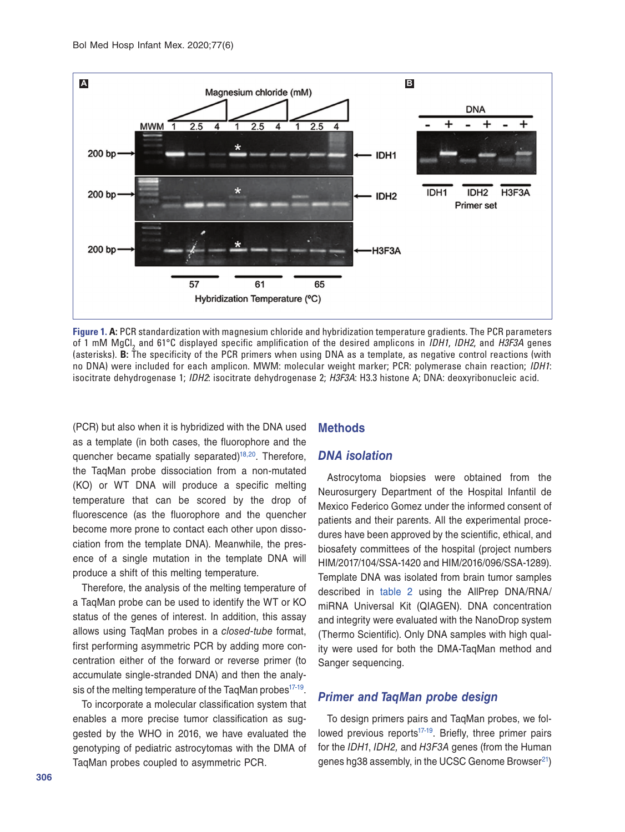

**Figure 1. A:** PCR standardization with magnesium chloride and hybridization temperature gradients. The PCR parameters of 1 mM MgCl2 and 61°C displayed specific amplification of the desired amplicons in *IDH1*, *IDH2*, and *H3F3A* genes (asterisks). **B:** The specificity of the PCR primers when using DNA as a template, as negative control reactions (with no DNA) were included for each amplicon. MWM: molecular weight marker; PCR: polymerase chain reaction; *IDH1*: isocitrate dehydrogenase 1; *IDH2*: isocitrate dehydrogenase 2; *H3F3A*: H3.3 histone A; DNA: deoxyribonucleic acid.

(PCR) but also when it is hybridized with the DNA used as a template (in both cases, the fluorophore and the quencher became spatially separated)<sup>18,20</sup>. Therefore, the TaqMan probe dissociation from a non-mutated (KO) or WT DNA will produce a specific melting temperature that can be scored by the drop of fluorescence (as the fluorophore and the quencher become more prone to contact each other upon dissociation from the template DNA). Meanwhile, the presence of a single mutation in the template DNA will produce a shift of this melting temperature.

Therefore, the analysis of the melting temperature of a TaqMan probe can be used to identify the WT or KO status of the genes of interest. In addition, this assay allows using TaqMan probes in a *closed-tube* format, first performing asymmetric PCR by adding more concentration either of the forward or reverse primer (to accumulate single-stranded DNA) and then the analysis of the melting temperature of the TaqMan probes<sup>17-19</sup>.

To incorporate a molecular classification system that enables a more precise tumor classification as suggested by the WHO in 2016, we have evaluated the genotyping of pediatric astrocytomas with the DMA of TaqMan probes coupled to asymmetric PCR.

#### **Methods**

## *DNA isolation*

Astrocytoma biopsies were obtained from the Neurosurgery Department of the Hospital Infantil de Mexico Federico Gomez under the informed consent of patients and their parents. All the experimental procedures have been approved by the scientific, ethical, and biosafety committees of the hospital (project numbers HIM/2017/104/SSA-1420 and HIM/2016/096/SSA-1289). Template DNA was isolated from brain tumor samples described in table 2 using the AllPrep DNA/RNA/ miRNA Universal Kit (QIAGEN). DNA concentration and integrity were evaluated with the NanoDrop system (Thermo Scientific). Only DNA samples with high quality were used for both the DMA-TaqMan method and Sanger sequencing.

## *Primer and TaqMan probe design*

To design primers pairs and TaqMan probes, we followed previous reports<sup>17-19</sup>. Briefly, three primer pairs for the *IDH1*, *IDH2,* and *H3F3A* genes (from the Human genes hg38 assembly, in the UCSC Genome Browser<sup>21</sup>)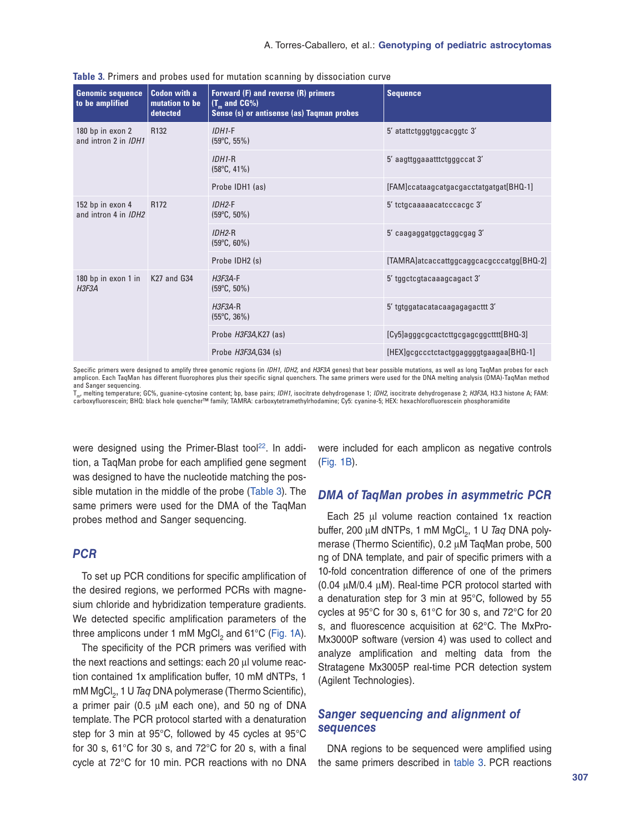| <b>Genomic sequence</b><br>to be amplified      | <b>Codon with a</b><br>mutation to be<br>detected | Forward (F) and reverse (R) primers<br>$(T_m$ and CG%)<br>Sense (s) or antisense (as) Taqman probes | <b>Sequence</b>                          |
|-------------------------------------------------|---------------------------------------------------|-----------------------------------------------------------------------------------------------------|------------------------------------------|
| 180 bp in exon 2<br>and intron 2 in IDH1        | R <sub>132</sub>                                  | $IDH1-F$<br>$(59^{\circ}C, 55\%)$                                                                   | 5' atattctgggtggcacggtc 3'               |
|                                                 |                                                   | $IDH1-R$<br>$(58^{\circ}C, 41\%)$                                                                   | 5' aagttggaaatttctgggccat 3'             |
|                                                 |                                                   | Probe IDH1 (as)                                                                                     | [FAM]ccataagcatgacgacctatgatgat[BHQ-1]   |
| 152 bp in exon 4<br>and intron 4 in <i>IDH2</i> | R <sub>172</sub>                                  | $IDH2-F$<br>$(59^{\circ}C, 50\%)$                                                                   | 5' tctgcaaaaacatcccacgc 3'               |
|                                                 |                                                   | $IDH2-R$<br>$(59^{\circ}C, 60\%)$                                                                   | 5' caagaggatggctaggcgag 3'               |
|                                                 |                                                   | Probe IDH2 (s)                                                                                      | [TAMRA]atcaccattggcaggcacgcccatgg[BHQ-2] |
| 180 bp in exon 1 in<br>H3F3A                    | K27 and G34                                       | $H3F3A-F$<br>$(59^{\circ}C, 50\%)$                                                                  | 5' tggctcgtacaaagcagact 3'               |
|                                                 |                                                   | $H3F3A-R$<br>$(55^{\circ}C, 36\%)$                                                                  | 5' tgtggatacatacaagagagacttt 3'          |
|                                                 |                                                   | Probe H3F3A,K27 (as)                                                                                | [Cy5]agggcgcactcttgcgagcggctttt[BHQ-3]   |
|                                                 |                                                   | Probe H3F3A, G34 (s)                                                                                | [HEX]gcgccctctactggaggggtgaagaa[BHQ-1]   |

**Table 3.** Primers and probes used for mutation scanning by dissociation curve

Specific primers were designed to amplify three genomic regions (in *IDH1, IDH2,* and *H3F3A* genes) that bear possible mutations, as well as long TaqMan probes for each amplicon. Each TaqMan has different fluorophores plus their specific signal quenchers. The same primers were used for the DNA melting analysis (DMA)-TaqMan method and Sanger sequencing.

Tm, melting temperature; GC%, guanine-cytosine content; bp, base pairs; *IDH1*, isocitrate dehydrogenase 1; *IDH2*, isocitrate dehydrogenase 2; *H3F3A*, H3.3 histone A; FAM: carboxyfluorescein; BHQ: black hole quencher™ family; TAMRA: carboxytetramethylrhodamine; Cy5: cyanine-5; HEX: hexachlorofluorescein phosphoramidite

were designed using the Primer-Blast tool<sup>22</sup>. In addition, a TaqMan probe for each amplified gene segment was designed to have the nucleotide matching the possible mutation in the middle of the probe (Table 3). The same primers were used for the DMA of the TaqMan probes method and Sanger sequencing.

## *PCR*

To set up PCR conditions for specific amplification of the desired regions, we performed PCRs with magnesium chloride and hybridization temperature gradients. We detected specific amplification parameters of the three amplicons under 1 mM  $MgCl<sub>2</sub>$  and 61°C (Fig. 1A).

The specificity of the PCR primers was verified with the next reactions and settings: each 20 μl volume reaction contained 1x amplification buffer, 10 mM dNTPs, 1 mM MgCl<sub>2</sub>, 1 U *Taq* DNA polymerase (Thermo Scientific), a primer pair (0.5 μM each one), and 50 ng of DNA template. The PCR protocol started with a denaturation step for 3 min at 95°C, followed by 45 cycles at 95°C for 30 s, 61°C for 30 s, and 72°C for 20 s, with a final cycle at 72°C for 10 min. PCR reactions with no DNA

were included for each amplicon as negative controls (Fig. 1B).

#### *DMA of TaqMan probes in asymmetric PCR*

Each 25 μl volume reaction contained 1x reaction buffer, 200 μM dNTPs, 1 mM MgCl<sub>2</sub>, 1 U *Taq* DNA polymerase (Thermo Scientific), 0.2 μM TaqMan probe, 500 ng of DNA template, and pair of specific primers with a 10-fold concentration difference of one of the primers (0.04 μM/0.4 μM). Real-time PCR protocol started with a denaturation step for 3 min at 95°C, followed by 55 cycles at 95°C for 30 s, 61°C for 30 s, and 72°C for 20 s, and fluorescence acquisition at 62°C. The MxPro-Mx3000P software (version 4) was used to collect and analyze amplification and melting data from the Stratagene Mx3005P real-time PCR detection system (Agilent Technologies).

## *Sanger sequencing and alignment of sequences*

DNA regions to be sequenced were amplified using the same primers described in table 3. PCR reactions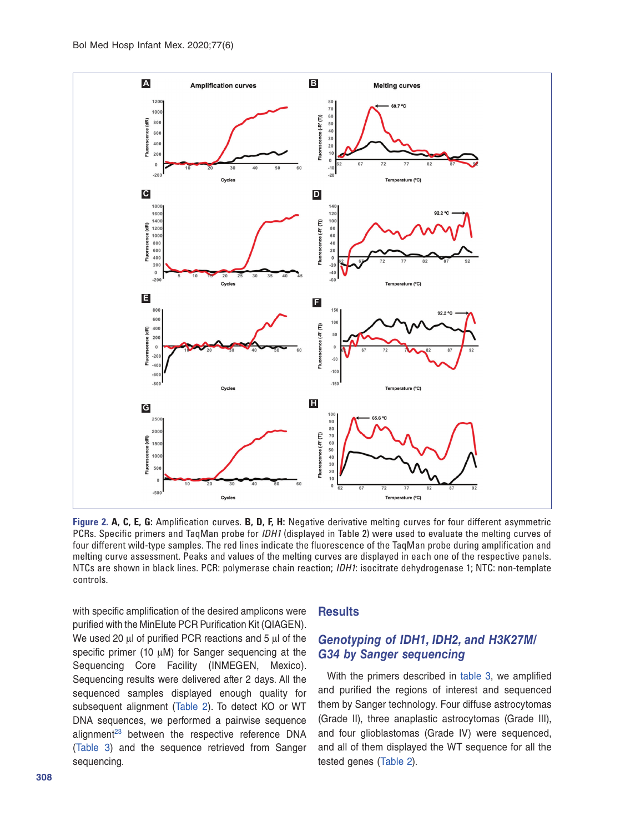

**Figure 2. A, C, E, G:** Amplification curves. **B, D, F, H:** Negative derivative melting curves for four different asymmetric PCRs. Specific primers and TaqMan probe for *IDH1* (displayed in Table 2) were used to evaluate the melting curves of four different wild-type samples. The red lines indicate the fluorescence of the TaqMan probe during amplification and melting curve assessment. Peaks and values of the melting curves are displayed in each one of the respective panels. NTCs are shown in black lines. PCR: polymerase chain reaction; *IDH1*: isocitrate dehydrogenase 1; NTC: non-template controls.

with specific amplification of the desired amplicons were purified with the MinElute PCR Purification Kit (QIAGEN). We used 20 μl of purified PCR reactions and 5 μl of the specific primer (10 μM) for Sanger sequencing at the Sequencing Core Facility (INMEGEN, Mexico). Sequencing results were delivered after 2 days. All the sequenced samples displayed enough quality for subsequent alignment (Table 2). To detect KO or WT DNA sequences, we performed a pairwise sequence alignment $23$  between the respective reference DNA (Table 3) and the sequence retrieved from Sanger sequencing.

## **Results**

## *Genotyping of IDH1, IDH2, and H3K27M/ G34 by Sanger sequencing*

With the primers described in table 3, we amplified and purified the regions of interest and sequenced them by Sanger technology. Four diffuse astrocytomas (Grade II), three anaplastic astrocytomas (Grade III), and four glioblastomas (Grade IV) were sequenced, and all of them displayed the WT sequence for all the tested genes (Table 2).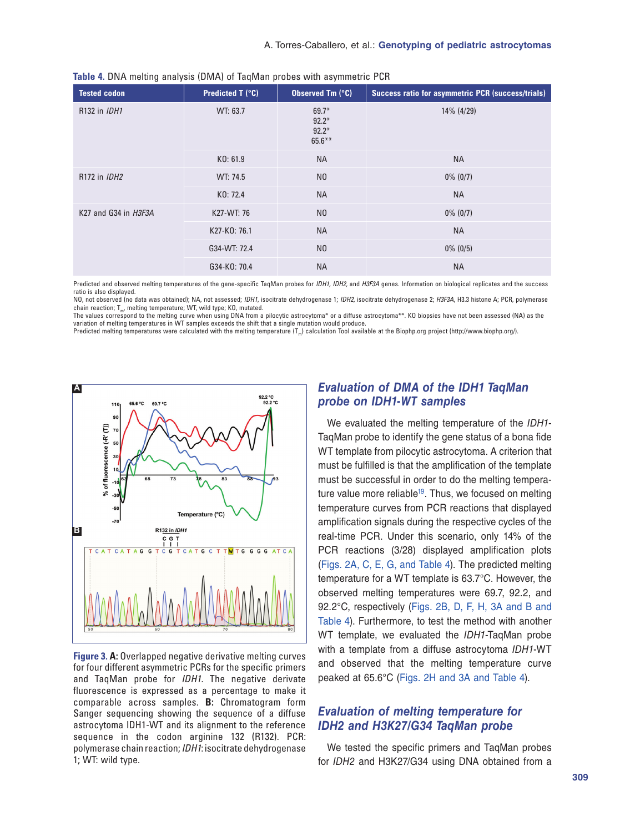| Tested codon         | Predicted T (°C) | Observed Tm (°C)                           | Success ratio for asymmetric PCR (success/trials) |
|----------------------|------------------|--------------------------------------------|---------------------------------------------------|
| R132 in <i>IDH1</i>  | WT: 63.7         | $69.7*$<br>$92.2*$<br>$92.2*$<br>$65.6***$ | 14% (4/29)                                        |
|                      | KO: 61.9         | <b>NA</b>                                  | <b>NA</b>                                         |
| R172 in <i>IDH2</i>  | WT: 74.5         | N <sub>0</sub>                             | $0\%$ (0/7)                                       |
|                      | KO: 72.4         | <b>NA</b>                                  | <b>NA</b>                                         |
| K27 and G34 in H3F3A | K27-WT: 76       | N <sub>0</sub>                             | $0\%$ (0/7)                                       |
|                      | K27-K0: 76.1     | <b>NA</b>                                  | <b>NA</b>                                         |
|                      | G34-WT: 72.4     | N <sub>0</sub>                             | $0\%$ (0/5)                                       |
|                      | G34-K0: 70.4     | <b>NA</b>                                  | <b>NA</b>                                         |

Predicted and observed melting temperatures of the gene-specific TaqMan probes for *IDH1, IDH2,* and *H3F3A* genes. Information on biological replicates and the success ratio is also displayed.

NO, not observed (no data was obtained); NA, not assessed; *IDH1*, isocitrate dehydrogenase 1; *IDH2*, isocitrate dehydrogenase 2; *H3F3A*, H3.3 histone A; PCR, polymerase chain reaction;  $T_{m}$ , melting temperature; WT, wild type; KO, mutated.

The values correspond to the melting curve when using DNA from a pilocytic astrocytoma\* or a diffuse astrocytoma\*\*. KO biopsies have not been assessed (NA) as the variation of melting temperatures in WT samples exceeds the shift that a single mutation would produce.

Predicted melting temperatures were calculated with the melting temperature  $(T_m)$  calculation Tool available at the Biophp.org project (http://www.biophp.org/).



**Figure 3. A:** Overlapped negative derivative melting curves for four different asymmetric PCRs for the specific primers and TaqMan probe for *IDH1*. The negative derivate fluorescence is expressed as a percentage to make it comparable across samples. **B:** Chromatogram form Sanger sequencing showing the sequence of a diffuse astrocytoma IDH1-WT and its alignment to the reference sequence in the codon arginine 132 (R132). PCR: polymerase chain reaction; *IDH1*: isocitrate dehydrogenase 1; WT: wild type.

## *Evaluation of DMA of the IDH1 TaqMan probe on IDH1-WT samples*

We evaluated the melting temperature of the *IDH1*- TaqMan probe to identify the gene status of a bona fide WT template from pilocytic astrocytoma. A criterion that must be fulfilled is that the amplification of the template must be successful in order to do the melting temperature value more reliable<sup>19</sup>. Thus, we focused on melting temperature curves from PCR reactions that displayed amplification signals during the respective cycles of the real-time PCR. Under this scenario, only 14% of the PCR reactions (3/28) displayed amplification plots (Figs. 2A, C, E, G, and Table 4). The predicted melting temperature for a WT template is 63.7°C. However, the observed melting temperatures were 69.7, 92.2, and 92.2°C, respectively (Figs. 2B, D, F, H, 3A and B and Table 4). Furthermore, to test the method with another WT template, we evaluated the *IDH1*-TaqMan probe with a template from a diffuse astrocytoma *IDH1*-WT and observed that the melting temperature curve peaked at 65.6°C (Figs. 2H and 3A and Table 4).

# *Evaluation of melting temperature for IDH2 and H3K27/G34 TaqMan probe*

We tested the specific primers and TaqMan probes for *IDH2* and H3K27/G34 using DNA obtained from a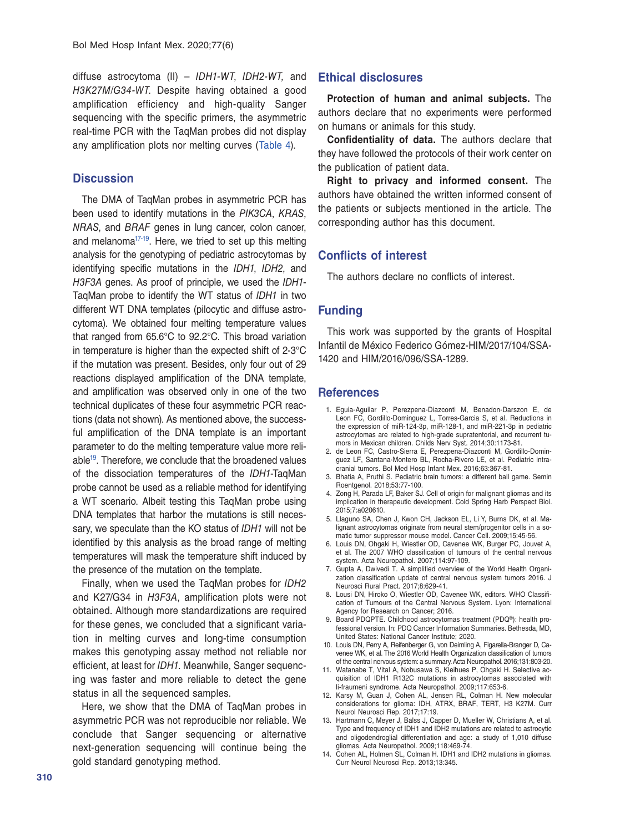diffuse astrocytoma (II) – *IDH1-WT*, *IDH2-WT,* and *H3K27M/G34-WT*. Despite having obtained a good amplification efficiency and high-quality Sanger sequencing with the specific primers, the asymmetric real-time PCR with the TaqMan probes did not display any amplification plots nor melting curves (Table 4).

#### **Discussion**

The DMA of TaqMan probes in asymmetric PCR has been used to identify mutations in the *PIK3CA*, *KRAS*, *NRAS*, and *BRAF* genes in lung cancer, colon cancer, and melanoma<sup>17-19</sup>. Here, we tried to set up this melting analysis for the genotyping of pediatric astrocytomas by identifying specific mutations in the *IDH1*, *IDH2*, and *H3F3A* genes. As proof of principle, we used the *IDH1*- TaqMan probe to identify the WT status of *IDH1* in two different WT DNA templates (pilocytic and diffuse astrocytoma). We obtained four melting temperature values that ranged from 65.6°C to 92.2°C. This broad variation in temperature is higher than the expected shift of 2-3°C if the mutation was present. Besides, only four out of 29 reactions displayed amplification of the DNA template, and amplification was observed only in one of the two technical duplicates of these four asymmetric PCR reactions (data not shown). As mentioned above, the successful amplification of the DNA template is an important parameter to do the melting temperature value more reliable19. Therefore, we conclude that the broadened values of the dissociation temperatures of the *IDH1*-TaqMan probe cannot be used as a reliable method for identifying a WT scenario. Albeit testing this TaqMan probe using DNA templates that harbor the mutations is still necessary, we speculate than the KO status of *IDH1* will not be identified by this analysis as the broad range of melting temperatures will mask the temperature shift induced by the presence of the mutation on the template.

Finally, when we used the TaqMan probes for *IDH2* and K27/G34 in *H3F3A*, amplification plots were not obtained. Although more standardizations are required for these genes, we concluded that a significant variation in melting curves and long-time consumption makes this genotyping assay method not reliable nor efficient, at least for *IDH1*. Meanwhile, Sanger sequencing was faster and more reliable to detect the gene status in all the sequenced samples.

Here, we show that the DMA of TaqMan probes in asymmetric PCR was not reproducible nor reliable. We conclude that Sanger sequencing or alternative next-generation sequencing will continue being the gold standard genotyping method.

#### **Ethical disclosures**

**Protection of human and animal subjects.** The authors declare that no experiments were performed on humans or animals for this study.

**Confidentiality of data.** The authors declare that they have followed the protocols of their work center on the publication of patient data.

**Right to privacy and informed consent.** The authors have obtained the written informed consent of the patients or subjects mentioned in the article. The corresponding author has this document.

#### **Conflicts of interest**

The authors declare no conflicts of interest.

#### **Funding**

This work was supported by the grants of Hospital Infantil de México Federico Gómez-HIM/2017/104/SSA-1420 and HIM/2016/096/SSA-1289.

#### **References**

- 1. Eguia-Aguilar P, Perezpena-Diazconti M, Benadon-Darszon E, de Leon FC, Gordillo-Dominguez L, Torres-Garcia S, et al. Reductions in the expression of miR-124-3p, miR-128-1, and miR-221-3p in pediatric astrocytomas are related to high-grade supratentorial, and recurrent tumors in Mexican children. Childs Nerv Syst. 2014;30:1173-81.
- 2. de Leon FC, Castro-Sierra E, Perezpena-Diazconti M, Gordillo-Dominguez LF, Santana-Montero BL, Rocha-Rivero LE, et al. Pediatric intracranial tumors. Bol Med Hosp Infant Mex. 2016;63:367-81.
- 3. Bhatia A, Pruthi S. Pediatric brain tumors: a different ball game. Semin Roentgenol. 2018;53:77-100.
- 4. Zong H, Parada LF, Baker SJ. Cell of origin for malignant gliomas and its implication in therapeutic development. Cold Spring Harb Perspect Biol. 2015;7:a020610.
- 5. Llaguno SA, Chen J, Kwon CH, Jackson EL, Li Y, Burns DK, et al. Malignant astrocytomas originate from neural stem/progenitor cells in a somatic tumor suppressor mouse model. Cancer Cell. 2009;15:45-56.
- 6. Louis DN, Ohgaki H, Wiestler OD, Cavenee WK, Burger PC, Jouvet A, et al. The 2007 WHO classification of tumours of the central nervous system. Acta Neuropathol. 2007;114:97-109.
- 7. Gupta A, Dwivedi T. A simplified overview of the World Health Organization classification update of central nervous system tumors 2016. J Neurosci Rural Pract. 2017;8:629-41.
- 8. Lousi DN, Hiroko O, Wiestler OD, Cavenee WK, editors. WHO Classification of Tumours of the Central Nervous System. Lyon: International Agency for Research on Cancer; 2016.
- 9. Board PDQPTE. Childhood astrocytomas treatment (PDQ®): health professional version. In: PDQ Cancer Information Summaries. Bethesda, MD, United States: National Cancer Institute; 2020.
- 10. Louis DN, Perry A, Reifenberger G, von Deimling A, Figarella-Branger D, Cavenee WK, et al. The 2016 World Health Organization classification of tumors of the central nervous system: a summary. Acta Neuropathol. 2016;131:803-20.
- 11. Watanabe T, Vital A, Nobusawa S, Kleihues P, Ohgaki H. Selective acquisition of IDH1 R132C mutations in astrocytomas associated with li-fraumeni syndrome. Acta Neuropathol. 2009;117:653-6.
- 12. Karsy M, Guan J, Cohen AL, Jensen RL, Colman H. New molecular considerations for glioma: IDH, ATRX, BRAF, TERT, H3 K27M. Curr Neurol Neurosci Rep. 2017;17:19.
- 13. Hartmann C, Meyer J, Balss J, Capper D, Mueller W, Christians A, et al. Type and frequency of IDH1 and IDH2 mutations are related to astrocytic and oligodendroglial differentiation and age: a study of 1,010 diffuse gliomas. Acta Neuropathol. 2009;118:469-74.
- 14. Cohen AL, Holmen SL, Colman H. IDH1 and IDH2 mutations in gliomas. Curr Neurol Neurosci Rep. 2013;13:345.